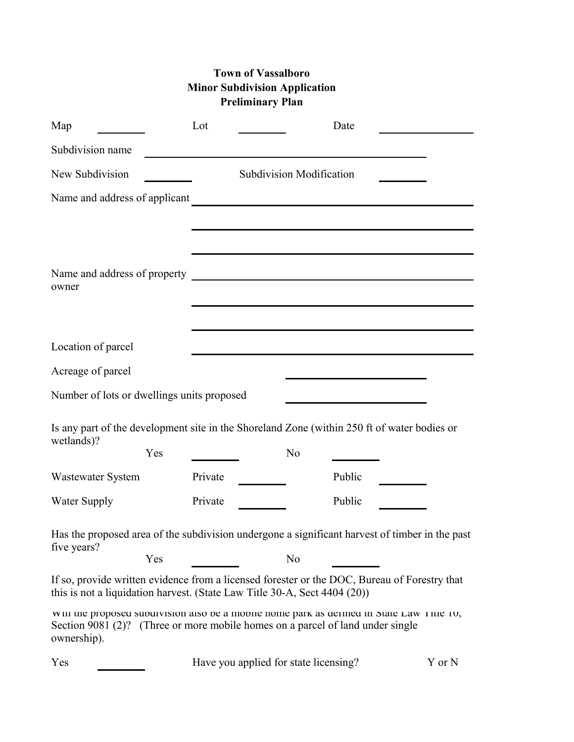## **Town of Vassalboro Minor Subdivision Application Preliminary Plan**

| Map                                                                                                                                                                                        | Lot     |                                       |                | Date                                                                                                                |        |
|--------------------------------------------------------------------------------------------------------------------------------------------------------------------------------------------|---------|---------------------------------------|----------------|---------------------------------------------------------------------------------------------------------------------|--------|
| Subdivision name                                                                                                                                                                           |         |                                       |                |                                                                                                                     |        |
| New Subdivision                                                                                                                                                                            |         | <b>Subdivision Modification</b>       |                |                                                                                                                     |        |
| Name and address of applicant                                                                                                                                                              |         |                                       |                | <u> 1980 - Jan James James, politik eta politik eta politik eta politik eta politik eta politik eta politik eta</u> |        |
|                                                                                                                                                                                            |         |                                       |                |                                                                                                                     |        |
|                                                                                                                                                                                            |         |                                       |                |                                                                                                                     |        |
|                                                                                                                                                                                            |         |                                       |                |                                                                                                                     |        |
| owner                                                                                                                                                                                      |         |                                       |                |                                                                                                                     |        |
|                                                                                                                                                                                            |         |                                       |                |                                                                                                                     |        |
| Location of parcel                                                                                                                                                                         |         |                                       |                |                                                                                                                     |        |
| Acreage of parcel                                                                                                                                                                          |         |                                       |                |                                                                                                                     |        |
| Number of lots or dwellings units proposed                                                                                                                                                 |         |                                       |                |                                                                                                                     |        |
| Is any part of the development site in the Shoreland Zone (within 250 ft of water bodies or                                                                                                |         |                                       |                |                                                                                                                     |        |
| wetlands)?<br>Yes                                                                                                                                                                          |         |                                       | N <sub>o</sub> |                                                                                                                     |        |
| <b>Wastewater System</b>                                                                                                                                                                   | Private |                                       |                | Public                                                                                                              |        |
| Water Supply                                                                                                                                                                               | Private |                                       |                | Public                                                                                                              |        |
| Has the proposed area of the subdivision undergone a significant harvest of timber in the past                                                                                             |         |                                       |                |                                                                                                                     |        |
| five years?<br>Yes                                                                                                                                                                         |         |                                       | N <sub>0</sub> |                                                                                                                     |        |
| If so, provide written evidence from a licensed forester or the DOC, Bureau of Forestry that<br>this is not a liquidation harvest. (State Law Title 30-A, Sect 4404 (20))                  |         |                                       |                |                                                                                                                     |        |
| win the proposed subdivision also be a mobile nome park as defined in State Law Title To,<br>Section 9081 (2)? (Three or more mobile homes on a parcel of land under single<br>ownership). |         |                                       |                |                                                                                                                     |        |
| Yes                                                                                                                                                                                        |         | Have you applied for state licensing? |                |                                                                                                                     | Y or N |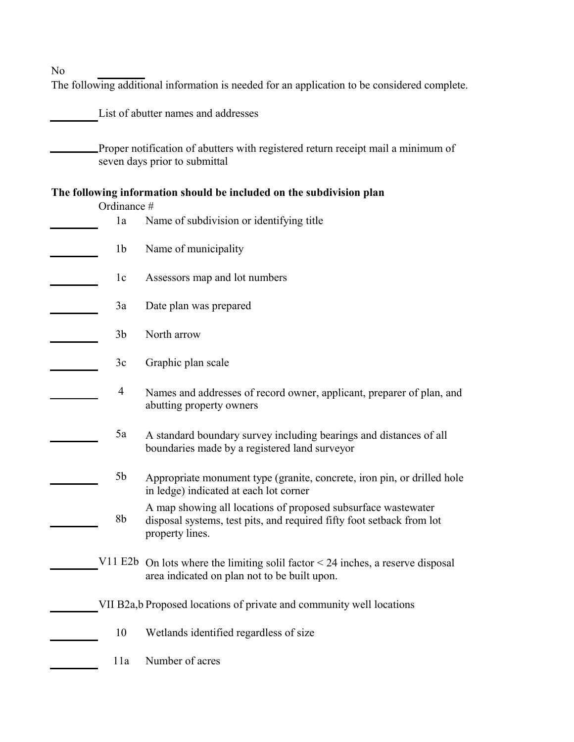No

The following additional information is needed for an application to be considered complete.

List of abutter names and addresses

Proper notification of abutters with registered return receipt mail a minimum of seven days prior to submittal

## **The following information should be included on the subdivision plan**

| Ordinance #    |                                                                                                                                                           |
|----------------|-----------------------------------------------------------------------------------------------------------------------------------------------------------|
| 1a             | Name of subdivision or identifying title                                                                                                                  |
| 1 <sub>b</sub> | Name of municipality                                                                                                                                      |
| 1c             | Assessors map and lot numbers                                                                                                                             |
| 3a             | Date plan was prepared                                                                                                                                    |
| 3 <sub>b</sub> | North arrow                                                                                                                                               |
| 3c             | Graphic plan scale                                                                                                                                        |
| $\overline{4}$ | Names and addresses of record owner, applicant, preparer of plan, and<br>abutting property owners                                                         |
| 5a             | A standard boundary survey including bearings and distances of all<br>boundaries made by a registered land surveyor                                       |
| 5 <sub>b</sub> | Appropriate monument type (granite, concrete, iron pin, or drilled hole<br>in ledge) indicated at each lot corner                                         |
| 8 <sub>b</sub> | A map showing all locations of proposed subsurface wastewater<br>disposal systems, test pits, and required fifty foot setback from lot<br>property lines. |
|                | V11 E2b On lots where the limiting solil factor $<$ 24 inches, a reserve disposal<br>area indicated on plan not to be built upon.                         |
|                | VII B2a, b Proposed locations of private and community well locations                                                                                     |
| 10             | Wetlands identified regardless of size                                                                                                                    |
| 11a            | Number of acres                                                                                                                                           |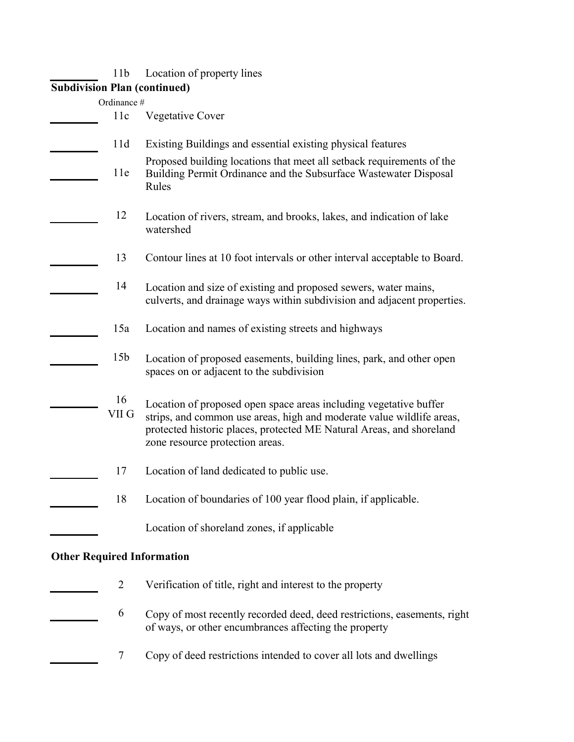| 11b                    | Location of property lines                                                                                                                                                                                                                            |
|------------------------|-------------------------------------------------------------------------------------------------------------------------------------------------------------------------------------------------------------------------------------------------------|
|                        | <b>Subdivision Plan (continued)</b>                                                                                                                                                                                                                   |
| Ordinance #            |                                                                                                                                                                                                                                                       |
| 11c                    | <b>Vegetative Cover</b>                                                                                                                                                                                                                               |
| 11d                    | Existing Buildings and essential existing physical features                                                                                                                                                                                           |
| 11e                    | Proposed building locations that meet all setback requirements of the<br>Building Permit Ordinance and the Subsurface Wastewater Disposal<br>Rules                                                                                                    |
| 12                     | Location of rivers, stream, and brooks, lakes, and indication of lake<br>watershed                                                                                                                                                                    |
| 13                     | Contour lines at 10 foot intervals or other interval acceptable to Board.                                                                                                                                                                             |
| 14                     | Location and size of existing and proposed sewers, water mains,<br>culverts, and drainage ways within subdivision and adjacent properties.                                                                                                            |
| 15a                    | Location and names of existing streets and highways                                                                                                                                                                                                   |
| 15 <sub>b</sub>        | Location of proposed easements, building lines, park, and other open<br>spaces on or adjacent to the subdivision                                                                                                                                      |
| 16<br>VII <sub>G</sub> | Location of proposed open space areas including vegetative buffer<br>strips, and common use areas, high and moderate value wildlife areas,<br>protected historic places, protected ME Natural Areas, and shoreland<br>zone resource protection areas. |
| 17                     | Location of land dedicated to public use.                                                                                                                                                                                                             |
| 18                     | Location of boundaries of 100 year flood plain, if applicable.                                                                                                                                                                                        |
|                        | Location of shoreland zones, if applicable                                                                                                                                                                                                            |
|                        | <b>Other Required Information</b>                                                                                                                                                                                                                     |
| $\overline{2}$         | Verification of title, right and interest to the property                                                                                                                                                                                             |
| 6                      | Copy of most recently recorded deed, deed restrictions, easements, right<br>of ways, or other encumbrances affecting the property                                                                                                                     |
| 7                      | Copy of deed restrictions intended to cover all lots and dwellings                                                                                                                                                                                    |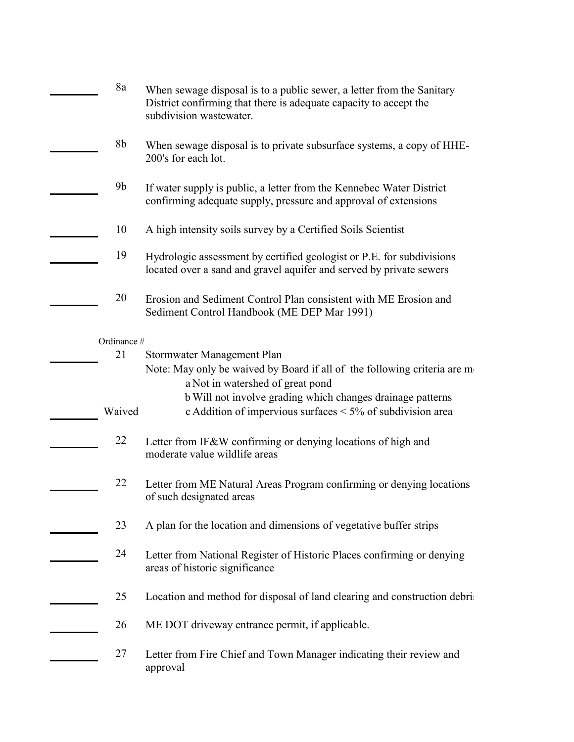| 8a             | When sewage disposal is to a public sewer, a letter from the Sanitary<br>District confirming that there is adequate capacity to accept the<br>subdivision wastewater. |
|----------------|-----------------------------------------------------------------------------------------------------------------------------------------------------------------------|
| 8b             | When sewage disposal is to private subsurface systems, a copy of HHE-<br>200's for each lot.                                                                          |
| 9 <sub>b</sub> | If water supply is public, a letter from the Kennebec Water District<br>confirming adequate supply, pressure and approval of extensions                               |
| 10             | A high intensity soils survey by a Certified Soils Scientist                                                                                                          |
| 19             | Hydrologic assessment by certified geologist or P.E. for subdivisions<br>located over a sand and gravel aquifer and served by private sewers                          |
| 20             | Erosion and Sediment Control Plan consistent with ME Erosion and<br>Sediment Control Handbook (ME DEP Mar 1991)                                                       |
| Ordinance #    |                                                                                                                                                                       |
| 21             | Stormwater Management Plan                                                                                                                                            |
|                | Note: May only be waived by Board if all of the following criteria are m<br>a Not in watershed of great pond                                                          |
| Waived         | b Will not involve grading which changes drainage patterns<br>c Addition of impervious surfaces < 5% of subdivision area                                              |
| 22             | Letter from IF&W confirming or denying locations of high and<br>moderate value wildlife areas                                                                         |
| 22             | Letter from ME Natural Areas Program confirming or denying locations<br>of such designated areas                                                                      |
| 23             | A plan for the location and dimensions of vegetative buffer strips                                                                                                    |
| 24             | Letter from National Register of Historic Places confirming or denying<br>areas of historic significance                                                              |
| 25             | Location and method for disposal of land clearing and construction debri                                                                                              |
| 26             | ME DOT driveway entrance permit, if applicable.                                                                                                                       |
| 27             | Letter from Fire Chief and Town Manager indicating their review and<br>approval                                                                                       |